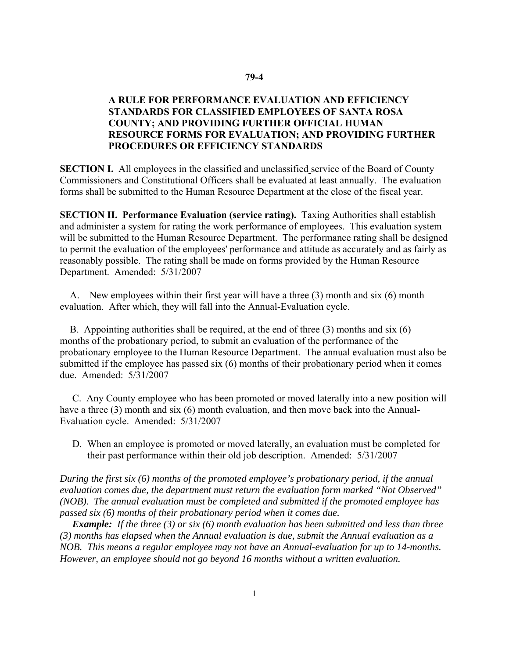## **79-4**

## **A RULE FOR PERFORMANCE EVALUATION AND EFFICIENCY STANDARDS FOR CLASSIFIED EMPLOYEES OF SANTA ROSA COUNTY; AND PROVIDING FURTHER OFFICIAL HUMAN RESOURCE FORMS FOR EVALUATION; AND PROVIDING FURTHER PROCEDURES OR EFFICIENCY STANDARDS**

**SECTION I.** All employees in the classified and unclassified service of the Board of County Commissioners and Constitutional Officers shall be evaluated at least annually. The evaluation forms shall be submitted to the Human Resource Department at the close of the fiscal year.

**SECTION II. Performance Evaluation (service rating).** Taxing Authorities shall establish and administer a system for rating the work performance of employees. This evaluation system will be submitted to the Human Resource Department. The performance rating shall be designed to permit the evaluation of the employees' performance and attitude as accurately and as fairly as reasonably possible. The rating shall be made on forms provided by the Human Resource Department. Amended: 5/31/2007

A. New employees within their first year will have a three (3) month and six (6) month evaluation. After which, they will fall into the Annual-Evaluation cycle.

B. Appointing authorities shall be required, at the end of three (3) months and six (6) months of the probationary period, to submit an evaluation of the performance of the probationary employee to the Human Resource Department. The annual evaluation must also be submitted if the employee has passed six (6) months of their probationary period when it comes due. Amended: 5/31/2007

C. Any County employee who has been promoted or moved laterally into a new position will have a three (3) month and six (6) month evaluation, and then move back into the Annual-Evaluation cycle. Amended: 5/31/2007

D. When an employee is promoted or moved laterally, an evaluation must be completed for their past performance within their old job description. Amended: 5/31/2007

*During the first six (6) months of the promoted employee's probationary period, if the annual evaluation comes due, the department must return the evaluation form marked "Not Observed" (NOB). The annual evaluation must be completed and submitted if the promoted employee has passed six (6) months of their probationary period when it comes due.* 

*Example: If the three (3) or six (6) month evaluation has been submitted and less than three (3) months has elapsed when the Annual evaluation is due, submit the Annual evaluation as a NOB. This means a regular employee may not have an Annual-evaluation for up to 14-months. However, an employee should not go beyond 16 months without a written evaluation.*